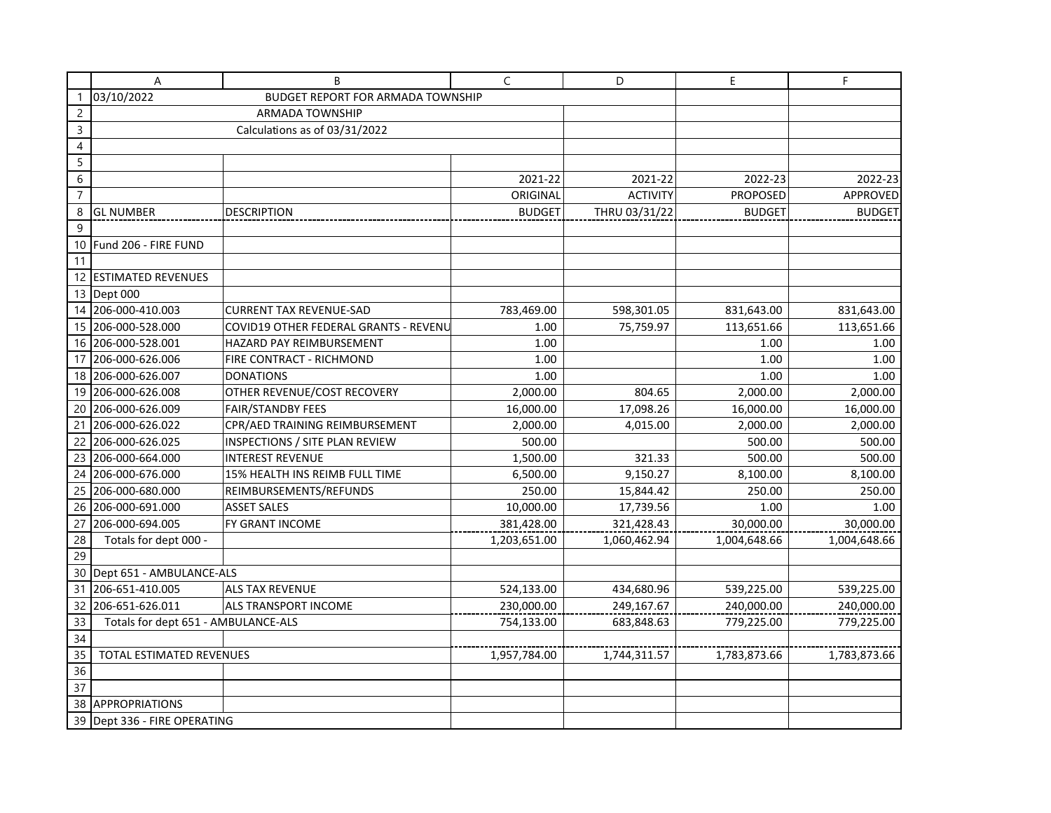|                | Α                                                      | B                                     | $\mathsf C$   | D               | E               | F.            |
|----------------|--------------------------------------------------------|---------------------------------------|---------------|-----------------|-----------------|---------------|
| $\mathbf{1}$   | 03/10/2022<br><b>BUDGET REPORT FOR ARMADA TOWNSHIP</b> |                                       |               |                 |                 |               |
| $\overline{c}$ | <b>ARMADA TOWNSHIP</b>                                 |                                       |               |                 |                 |               |
| $\mathsf{3}$   | Calculations as of 03/31/2022                          |                                       |               |                 |                 |               |
| $\overline{4}$ |                                                        |                                       |               |                 |                 |               |
| $\sqrt{5}$     |                                                        |                                       |               |                 |                 |               |
| $\sqrt{6}$     |                                                        |                                       | 2021-22       | 2021-22         | 2022-23         | 2022-23       |
| $\overline{7}$ |                                                        |                                       | ORIGINAL      | <b>ACTIVITY</b> | <b>PROPOSED</b> | APPROVED      |
| 8              | <b>GL NUMBER</b>                                       | <b>DESCRIPTION</b>                    | <b>BUDGET</b> | THRU 03/31/22   | <b>BUDGET</b>   | <b>BUDGET</b> |
| 9              |                                                        |                                       |               |                 |                 |               |
| 10             | Fund 206 - FIRE FUND                                   |                                       |               |                 |                 |               |
| 11             |                                                        |                                       |               |                 |                 |               |
| 12             | <b>ESTIMATED REVENUES</b>                              |                                       |               |                 |                 |               |
|                | 13 Dept 000                                            |                                       |               |                 |                 |               |
|                | 14 206-000-410.003                                     | <b>CURRENT TAX REVENUE-SAD</b>        | 783,469.00    | 598,301.05      | 831,643.00      | 831,643.00    |
|                | 15 206-000-528.000                                     | COVID19 OTHER FEDERAL GRANTS - REVENU | 1.00          | 75,759.97       | 113,651.66      | 113,651.66    |
|                | 16 206-000-528.001                                     | HAZARD PAY REIMBURSEMENT              | 1.00          |                 | 1.00            | 1.00          |
|                | 17 206-000-626.006                                     | FIRE CONTRACT - RICHMOND              | 1.00          |                 | 1.00            | 1.00          |
|                | 18 206-000-626.007                                     | <b>DONATIONS</b>                      | 1.00          |                 | 1.00            | 1.00          |
| 19             | 206-000-626.008                                        | OTHER REVENUE/COST RECOVERY           | 2,000.00      | 804.65          | 2,000.00        | 2,000.00      |
| 20             | 206-000-626.009                                        | <b>FAIR/STANDBY FEES</b>              | 16,000.00     | 17,098.26       | 16,000.00       | 16,000.00     |
| 21             | 206-000-626.022                                        | CPR/AED TRAINING REIMBURSEMENT        | 2,000.00      | 4,015.00        | 2,000.00        | 2,000.00      |
| 22             | 206-000-626.025                                        | INSPECTIONS / SITE PLAN REVIEW        | 500.00        |                 | 500.00          | 500.00        |
|                | 23 206-000-664.000                                     | <b>INTEREST REVENUE</b>               | 1,500.00      | 321.33          | 500.00          | 500.00        |
| 24             | 206-000-676.000                                        | 15% HEALTH INS REIMB FULL TIME        | 6,500.00      | 9,150.27        | 8,100.00        | 8,100.00      |
| 25             | 206-000-680.000                                        | REIMBURSEMENTS/REFUNDS                | 250.00        | 15,844.42       | 250.00          | 250.00        |
| 26             | 206-000-691.000                                        | <b>ASSET SALES</b>                    | 10,000.00     | 17,739.56       | 1.00            | 1.00          |
| 27             | 206-000-694.005                                        | FY GRANT INCOME                       | 381,428.00    | 321,428.43      | 30,000.00       | 30,000.00     |
| 28             | Totals for dept 000 -                                  |                                       | 1,203,651.00  | 1,060,462.94    | 1,004,648.66    | 1,004,648.66  |
| 29             |                                                        |                                       |               |                 |                 |               |
| 30             | Dept 651 - AMBULANCE-ALS                               |                                       |               |                 |                 |               |
| 31             | 206-651-410.005                                        | ALS TAX REVENUE                       | 524,133.00    | 434,680.96      | 539,225.00      | 539,225.00    |
| 32             | 206-651-626.011                                        | <b>ALS TRANSPORT INCOME</b>           | 230,000.00    | 249,167.67      | 240,000.00      | 240,000.00    |
| 33             | Totals for dept 651 - AMBULANCE-ALS                    |                                       | 754,133.00    | 683,848.63      | 779,225.00      | 779,225.00    |
| 34             |                                                        |                                       |               |                 |                 |               |
| 35             | TOTAL ESTIMATED REVENUES                               |                                       | 1,957,784.00  | 1,744,311.57    | 1,783,873.66    | 1,783,873.66  |
| 36             |                                                        |                                       |               |                 |                 |               |
| 37             |                                                        |                                       |               |                 |                 |               |
| 38             | APPROPRIATIONS                                         |                                       |               |                 |                 |               |
|                | 39 Dept 336 - FIRE OPERATING                           |                                       |               |                 |                 |               |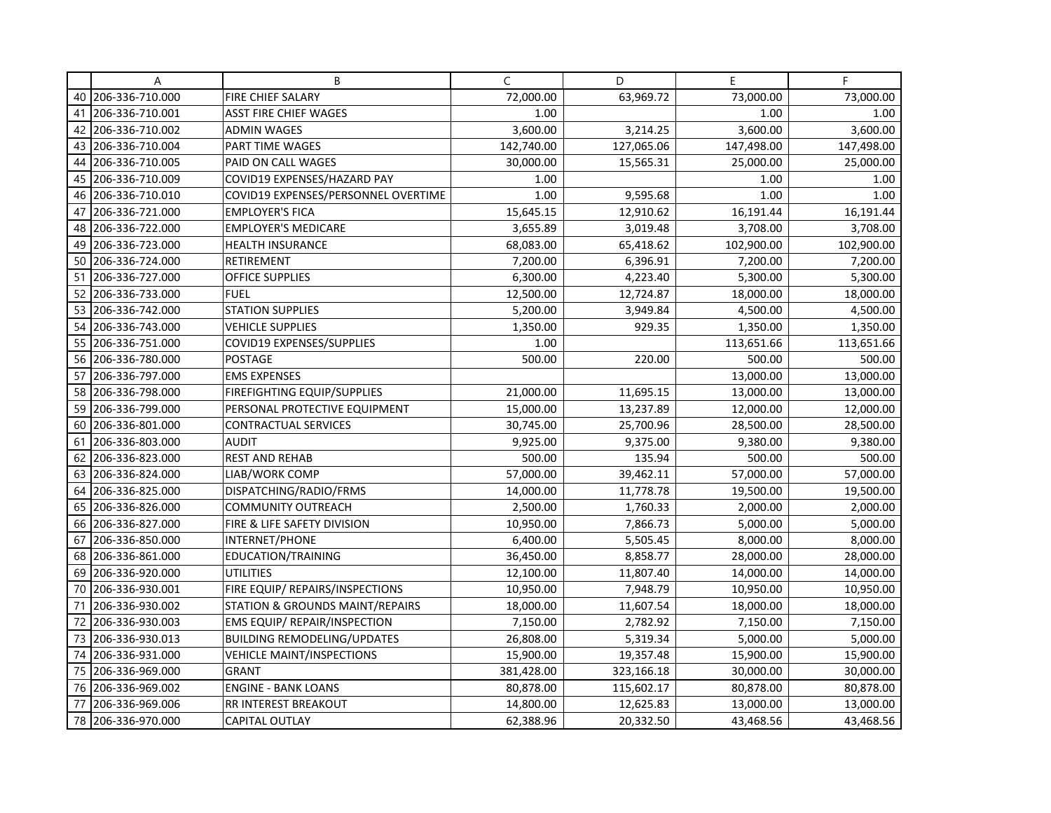|    | Α                  | B                                   | C          | D          | E          | F          |
|----|--------------------|-------------------------------------|------------|------------|------------|------------|
|    | 40 206-336-710.000 | FIRE CHIEF SALARY                   | 72,000.00  | 63,969.72  | 73,000.00  | 73,000.00  |
| 41 | 206-336-710.001    | <b>ASST FIRE CHIEF WAGES</b>        | 1.00       |            | 1.00       | 1.00       |
| 42 | 206-336-710.002    | <b>ADMIN WAGES</b>                  | 3,600.00   | 3,214.25   | 3,600.00   | 3,600.00   |
| 43 | 206-336-710.004    | PART TIME WAGES                     | 142,740.00 | 127,065.06 | 147,498.00 | 147,498.00 |
| 44 | 206-336-710.005    | <b>PAID ON CALL WAGES</b>           | 30,000.00  | 15,565.31  | 25,000.00  | 25,000.00  |
| 45 | 206-336-710.009    | COVID19 EXPENSES/HAZARD PAY         | 1.00       |            | 1.00       | 1.00       |
| 46 | 206-336-710.010    | COVID19 EXPENSES/PERSONNEL OVERTIME | 1.00       | 9,595.68   | 1.00       | 1.00       |
| 47 | 206-336-721.000    | <b>EMPLOYER'S FICA</b>              | 15,645.15  | 12,910.62  | 16,191.44  | 16,191.44  |
| 48 | 206-336-722.000    | <b>EMPLOYER'S MEDICARE</b>          | 3,655.89   | 3,019.48   | 3,708.00   | 3,708.00   |
| 49 | 206-336-723.000    | <b>HEALTH INSURANCE</b>             | 68,083.00  | 65,418.62  | 102,900.00 | 102,900.00 |
| 50 | 206-336-724.000    | <b>RETIREMENT</b>                   | 7,200.00   | 6,396.91   | 7,200.00   | 7,200.00   |
| 51 | 206-336-727.000    | <b>OFFICE SUPPLIES</b>              | 6,300.00   | 4,223.40   | 5,300.00   | 5,300.00   |
| 52 | 206-336-733.000    | <b>FUEL</b>                         | 12,500.00  | 12,724.87  | 18,000.00  | 18,000.00  |
| 53 | 206-336-742.000    | <b>STATION SUPPLIES</b>             | 5,200.00   | 3,949.84   | 4,500.00   | 4,500.00   |
| 54 | 206-336-743.000    | <b>VEHICLE SUPPLIES</b>             | 1,350.00   | 929.35     | 1,350.00   | 1,350.00   |
| 55 | 206-336-751.000    | COVID19 EXPENSES/SUPPLIES           | 1.00       |            | 113,651.66 | 113,651.66 |
| 56 | 206-336-780.000    | <b>POSTAGE</b>                      | 500.00     | 220.00     | 500.00     | 500.00     |
| 57 | 206-336-797.000    | <b>EMS EXPENSES</b>                 |            |            | 13,000.00  | 13,000.00  |
| 58 | 206-336-798.000    | FIREFIGHTING EQUIP/SUPPLIES         | 21,000.00  | 11,695.15  | 13,000.00  | 13,000.00  |
| 59 | 206-336-799.000    | PERSONAL PROTECTIVE EQUIPMENT       | 15,000.00  | 13,237.89  | 12,000.00  | 12,000.00  |
| 60 | 206-336-801.000    | <b>CONTRACTUAL SERVICES</b>         | 30,745.00  | 25,700.96  | 28,500.00  | 28,500.00  |
| 61 | 206-336-803.000    | <b>AUDIT</b>                        | 9,925.00   | 9,375.00   | 9,380.00   | 9,380.00   |
| 62 | 206-336-823.000    | <b>REST AND REHAB</b>               | 500.00     | 135.94     | 500.00     | 500.00     |
| 63 | 206-336-824.000    | LIAB/WORK COMP                      | 57,000.00  | 39,462.11  | 57,000.00  | 57,000.00  |
| 64 | 206-336-825.000    | DISPATCHING/RADIO/FRMS              | 14,000.00  | 11,778.78  | 19,500.00  | 19,500.00  |
| 65 | 206-336-826.000    | <b>COMMUNITY OUTREACH</b>           | 2,500.00   | 1,760.33   | 2,000.00   | 2,000.00   |
| 66 | 206-336-827.000    | FIRE & LIFE SAFETY DIVISION         | 10,950.00  | 7,866.73   | 5,000.00   | 5,000.00   |
| 67 | 206-336-850.000    | INTERNET/PHONE                      | 6,400.00   | 5,505.45   | 8,000.00   | 8,000.00   |
| 68 | 206-336-861.000    | EDUCATION/TRAINING                  | 36,450.00  | 8,858.77   | 28,000.00  | 28,000.00  |
| 69 | 206-336-920.000    | <b>UTILITIES</b>                    | 12,100.00  | 11,807.40  | 14,000.00  | 14,000.00  |
| 70 | 206-336-930.001    | FIRE EQUIP/ REPAIRS/INSPECTIONS     | 10,950.00  | 7,948.79   | 10,950.00  | 10,950.00  |
| 71 | 206-336-930.002    | STATION & GROUNDS MAINT/REPAIRS     | 18,000.00  | 11,607.54  | 18,000.00  | 18,000.00  |
| 72 | 206-336-930.003    | <b>EMS EQUIP/ REPAIR/INSPECTION</b> | 7,150.00   | 2,782.92   | 7,150.00   | 7,150.00   |
| 73 | 206-336-930.013    | <b>BUILDING REMODELING/UPDATES</b>  | 26,808.00  | 5,319.34   | 5,000.00   | 5,000.00   |
| 74 | 206-336-931.000    | <b>VEHICLE MAINT/INSPECTIONS</b>    | 15,900.00  | 19,357.48  | 15,900.00  | 15,900.00  |
| 75 | 206-336-969.000    | <b>GRANT</b>                        | 381,428.00 | 323,166.18 | 30,000.00  | 30,000.00  |
| 76 | 206-336-969.002    | <b>ENGINE - BANK LOANS</b>          | 80,878.00  | 115,602.17 | 80,878.00  | 80,878.00  |
| 77 | 206-336-969.006    | RR INTEREST BREAKOUT                | 14,800.00  | 12,625.83  | 13,000.00  | 13,000.00  |
| 78 | 206-336-970.000    | <b>CAPITAL OUTLAY</b>               | 62,388.96  | 20,332.50  | 43,468.56  | 43,468.56  |